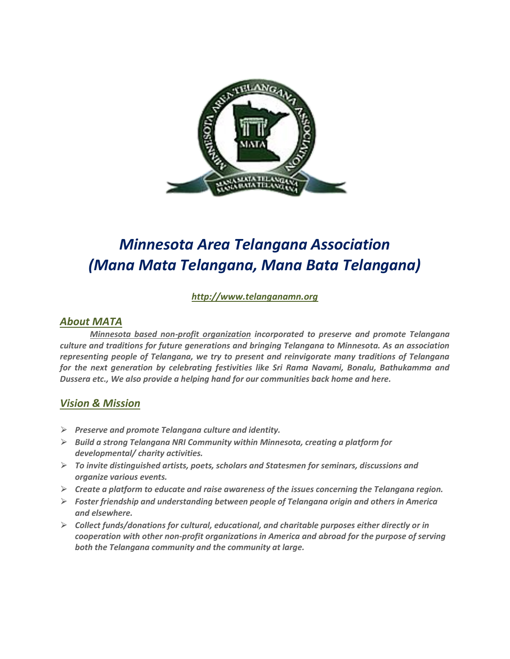

# *Minnesota Area Telangana Association (Mana Mata Telangana, Mana Bata Telangana)*

*[http://www.telanganamn.org](http://www.telanganamn.org/)*

### *About MATA*

*Minnesota based non-profit organization incorporated to preserve and promote Telangana culture and traditions for future generations and bringing Telangana to Minnesota. As an association representing people of Telangana, we try to present and reinvigorate many traditions of Telangana for the next generation by celebrating festivities like Sri Rama Navami, Bonalu, Bathukamma and Dussera etc., We also provide a helping hand for our communities back home and here.*

### *Vision & Mission*

- ⮚ *Preserve and promote Telangana culture and identity.*
- ⮚ *Build a strong Telangana NRI Community within Minnesota, creating a platform for developmental/ charity activities.*
- ⮚ *To invite distinguished artists, poets, scholars and Statesmen for seminars, discussions and organize various events.*
- ⮚ *Create a platform to educate and raise awareness of the issues concerning the Telangana region.*
- ⮚ *Foster friendship and understanding between people of Telangana origin and others in America and elsewhere.*
- ⮚ *Collect funds/donations for cultural, educational, and charitable purposes either directly or in cooperation with other non-profit organizations in America and abroad for the purpose of serving both the Telangana community and the community at large.*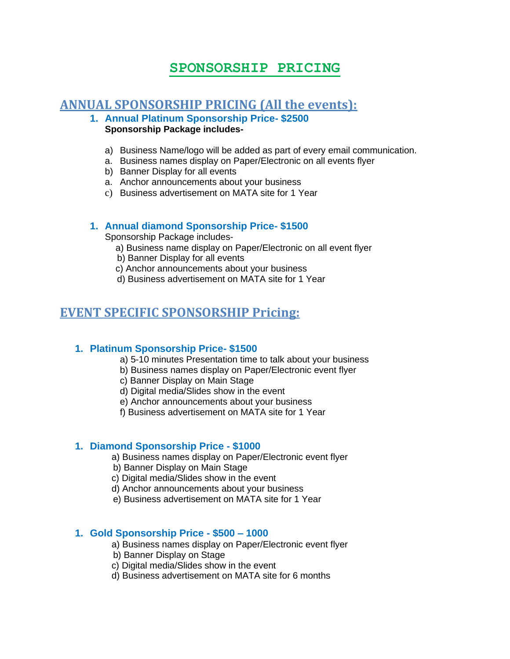# **SPONSORSHIP PRICING**

### **ANNUAL SPONSORSHIP PRICING (All the events):**

#### **1. Annual Platinum Sponsorship Price- \$2500 Sponsorship Package includes-**

- a) Business Name/logo will be added as part of every email communication.
- a. Business names display on Paper/Electronic on all events flyer
- b) Banner Display for all events
- a. Anchor announcements about your business
- c) Business advertisement on MATA site for 1 Year

### **1. Annual diamond Sponsorship Price- \$1500**

Sponsorship Package includes-

- a) Business name display on Paper/Electronic on all event flyer
- b) Banner Display for all events
- c) Anchor announcements about your business
- d) Business advertisement on MATA site for 1 Year

## **EVENT SPECIFIC SPONSORSHIP Pricing:**

#### **1. Platinum Sponsorship Price- \$1500**

- a) 5-10 minutes Presentation time to talk about your business
- b) Business names display on Paper/Electronic event flyer
- c) Banner Display on Main Stage
- d) Digital media/Slides show in the event
- e) Anchor announcements about your business
- f) Business advertisement on MATA site for 1 Year

#### **1. Diamond Sponsorship Price - \$1000**

- a) Business names display on Paper/Electronic event flyer
- b) Banner Display on Main Stage
- c) Digital media/Slides show in the event
- d) Anchor announcements about your business
- e) Business advertisement on MATA site for 1 Year

#### **1. Gold Sponsorship Price - \$500 – 1000**

- a) Business names display on Paper/Electronic event flyer
- b) Banner Display on Stage
- c) Digital media/Slides show in the event
- d) Business advertisement on MATA site for 6 months